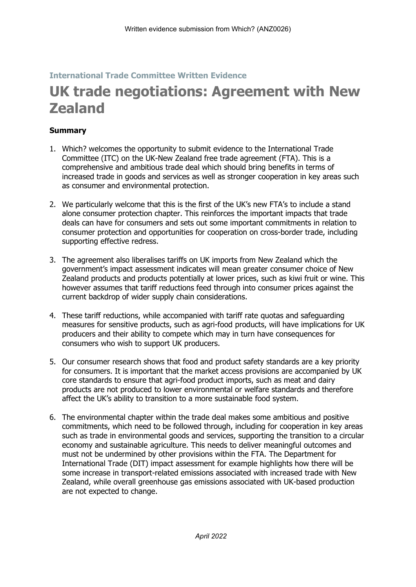## **International Trade Committee Written Evidence**

# **UK trade negotiations: Agreement with New Zealand**

### **Summary**

- 1. Which? welcomes the opportunity to submit evidence to the International Trade Committee (ITC) on the UK-New Zealand free trade agreement (FTA). This is a comprehensive and ambitious trade deal which should bring benefits in terms of increased trade in goods and services as well as stronger cooperation in key areas such as consumer and environmental protection.
- 2. We particularly welcome that this is the first of the UK's new FTA's to include a stand alone consumer protection chapter. This reinforces the important impacts that trade deals can have for consumers and sets out some important commitments in relation to consumer protection and opportunities for cooperation on cross-border trade, including supporting effective redress.
- 3. The agreement also liberalises tariffs on UK imports from New Zealand which the government's impact assessment indicates will mean greater consumer choice of New Zealand products and products potentially at lower prices, such as kiwi fruit or wine. This however assumes that tariff reductions feed through into consumer prices against the current backdrop of wider supply chain considerations.
- 4. These tariff reductions, while accompanied with tariff rate quotas and safeguarding measures for sensitive products, such as agri-food products, will have implications for UK producers and their ability to compete which may in turn have consequences for consumers who wish to support UK producers.
- 5. Our consumer research shows that food and product safety standards are a key priority for consumers. It is important that the market access provisions are accompanied by UK core standards to ensure that agri-food product imports, such as meat and dairy products are not produced to lower environmental or welfare standards and therefore affect the UK's ability to transition to a more sustainable food system.
- 6. The environmental chapter within the trade deal makes some ambitious and positive commitments, which need to be followed through, including for cooperation in key areas such as trade in environmental goods and services, supporting the transition to a circular economy and sustainable agriculture. This needs to deliver meaningful outcomes and must not be undermined by other provisions within the FTA. The Department for International Trade (DIT) impact assessment for example highlights how there will be some increase in transport-related emissions associated with increased trade with New Zealand, while overall greenhouse gas emissions associated with UK-based production are not expected to change.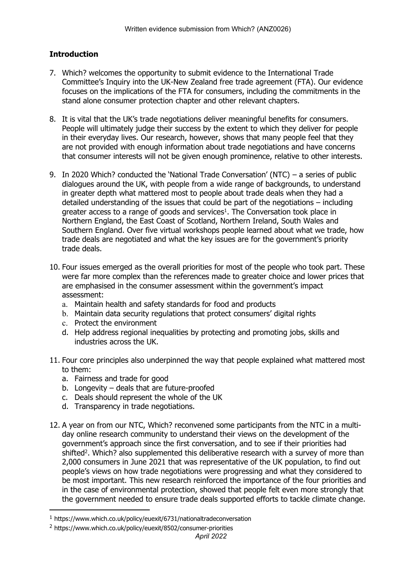## **Introduction**

- 7. Which? welcomes the opportunity to submit evidence to the International Trade Committee's Inquiry into the UK-New Zealand free trade agreement (FTA). Our evidence focuses on the implications of the FTA for consumers, including the commitments in the stand alone consumer protection chapter and other relevant chapters.
- 8. It is vital that the UK's trade negotiations deliver meaningful benefits for consumers. People will ultimately judge their success by the extent to which they deliver for people in their everyday lives. Our research, however, shows that many people feel that they are not provided with enough information about trade negotiations and have concerns that consumer interests will not be given enough prominence, relative to other interests.
- 9. In 2020 Which? conducted the 'National Trade Conversation' (NTC) a series of public dialogues around the UK, with people from a wide range of backgrounds, to understand in greater depth what mattered most to people about trade deals when they had a detailed understanding of the issues that could be part of the negotiations – including greater access to a range of goods and services<sup>1</sup>. The Conversation took place in Northern England, the East Coast of Scotland, Northern Ireland, South Wales and Southern England. Over five virtual workshops people learned about what we trade, how trade deals are negotiated and what the key issues are for the government's priority trade deals.
- 10. Four issues emerged as the overall priorities for most of the people who took part. These were far more complex than the references made to greater choice and lower prices that are emphasised in the consumer assessment within the government's impact assessment:
	- a. Maintain health and safety standards for food and products
	- b. Maintain data security regulations that protect consumers' digital rights
	- c. Protect the environment
	- d. Help address regional inequalities by protecting and promoting jobs, skills and industries across the UK.
- 11. Four core principles also underpinned the way that people explained what mattered most to them:
	- a. Fairness and trade for good
	- b. Longevity deals that are future-proofed
	- c. Deals should represent the whole of the UK
	- d. Transparency in trade negotiations.
- 12. A year on from our NTC, Which? reconvened some participants from the NTC in a multiday online research community to understand their views on the development of the government's approach since the first conversation, and to see if their priorities had shifted<sup>2</sup>. Which? also supplemented this deliberative research with a survey of more than 2,000 consumers in June 2021 that was representative of the UK population, to find out people's views on how trade negotiations were progressing and what they considered to be most important. This new research reinforced the importance of the four priorities and in the case of environmental protection, showed that people felt even more strongly that the government needed to ensure trade deals supported efforts to tackle climate change.

<sup>1</sup> https://www.which.co.uk/policy/euexit/6731/nationaltradeconversation

<sup>2</sup> https://www.which.co.uk/policy/euexit/8502/consumer-priorities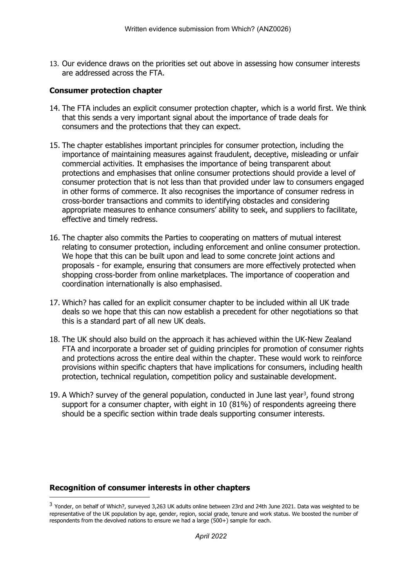13. Our evidence draws on the priorities set out above in assessing how consumer interests are addressed across the FTA.

#### **Consumer protection chapter**

- 14. The FTA includes an explicit consumer protection chapter, which is a world first. We think that this sends a very important signal about the importance of trade deals for consumers and the protections that they can expect.
- 15. The chapter establishes important principles for consumer protection, including the importance of maintaining measures against fraudulent, deceptive, misleading or unfair commercial activities. It emphasises the importance of being transparent about protections and emphasises that online consumer protections should provide a level of consumer protection that is not less than that provided under law to consumers engaged in other forms of commerce. It also recognises the importance of consumer redress in cross-border transactions and commits to identifying obstacles and considering appropriate measures to enhance consumers' ability to seek, and suppliers to facilitate, effective and timely redress.
- 16. The chapter also commits the Parties to cooperating on matters of mutual interest relating to consumer protection, including enforcement and online consumer protection. We hope that this can be built upon and lead to some concrete joint actions and proposals - for example, ensuring that consumers are more effectively protected when shopping cross-border from online marketplaces. The importance of cooperation and coordination internationally is also emphasised.
- 17. Which? has called for an explicit consumer chapter to be included within all UK trade deals so we hope that this can now establish a precedent for other negotiations so that this is a standard part of all new UK deals.
- 18. The UK should also build on the approach it has achieved within the UK-New Zealand FTA and incorporate a broader set of guiding principles for promotion of consumer rights and protections across the entire deal within the chapter. These would work to reinforce provisions within specific chapters that have implications for consumers, including health protection, technical regulation, competition policy and sustainable development.
- 19. A Which? survey of the general population, conducted in June last year<sup>3</sup>, found strong support for a consumer chapter, with eight in 10 (81%) of respondents agreeing there should be a specific section within trade deals supporting consumer interests.

#### **Recognition of consumer interests in other chapters**

<sup>&</sup>lt;sup>3</sup> Yonder, on behalf of Which?, surveyed 3,263 UK adults online between 23rd and 24th June 2021. Data was weighted to be representative of the UK population by age, gender, region, social grade, tenure and work status. We boosted the number of respondents from the devolved nations to ensure we had a large (500+) sample for each.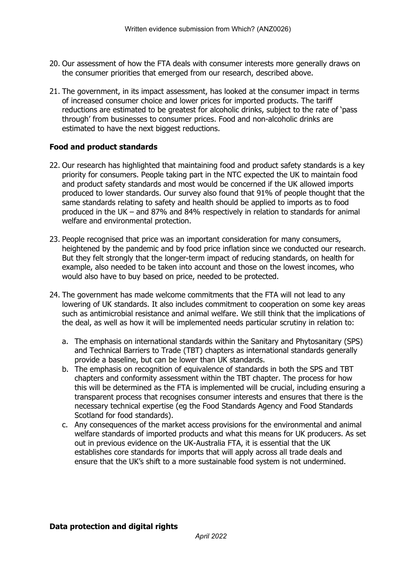- 20. Our assessment of how the FTA deals with consumer interests more generally draws on the consumer priorities that emerged from our research, described above.
- 21. The government, in its impact assessment, has looked at the consumer impact in terms of increased consumer choice and lower prices for imported products. The tariff reductions are estimated to be greatest for alcoholic drinks, subject to the rate of 'pass through' from businesses to consumer prices. Food and non-alcoholic drinks are estimated to have the next biggest reductions.

#### **Food and product standards**

- 22. Our research has highlighted that maintaining food and product safety standards is a key priority for consumers. People taking part in the NTC expected the UK to maintain food and product safety standards and most would be concerned if the UK allowed imports produced to lower standards. Our survey also found that 91% of people thought that the same standards relating to safety and health should be applied to imports as to food produced in the UK – and 87% and 84% respectively in relation to standards for animal welfare and environmental protection.
- 23. People recognised that price was an important consideration for many consumers, heightened by the pandemic and by food price inflation since we conducted our research. But they felt strongly that the longer-term impact of reducing standards, on health for example, also needed to be taken into account and those on the lowest incomes, who would also have to buy based on price, needed to be protected.
- 24. The government has made welcome commitments that the FTA will not lead to any lowering of UK standards. It also includes commitment to cooperation on some key areas such as antimicrobial resistance and animal welfare. We still think that the implications of the deal, as well as how it will be implemented needs particular scrutiny in relation to:
	- a. The emphasis on international standards within the Sanitary and Phytosanitary (SPS) and Technical Barriers to Trade (TBT) chapters as international standards generally provide a baseline, but can be lower than UK standards.
	- b. The emphasis on recognition of equivalence of standards in both the SPS and TBT chapters and conformity assessment within the TBT chapter. The process for how this will be determined as the FTA is implemented will be crucial, including ensuring a transparent process that recognises consumer interests and ensures that there is the necessary technical expertise (eg the Food Standards Agency and Food Standards Scotland for food standards).
	- c. Any consequences of the market access provisions for the environmental and animal welfare standards of imported products and what this means for UK producers. As set out in previous evidence on the UK-Australia FTA, it is essential that the UK establishes core standards for imports that will apply across all trade deals and ensure that the UK's shift to a more sustainable food system is not undermined.

#### **Data protection and digital rights**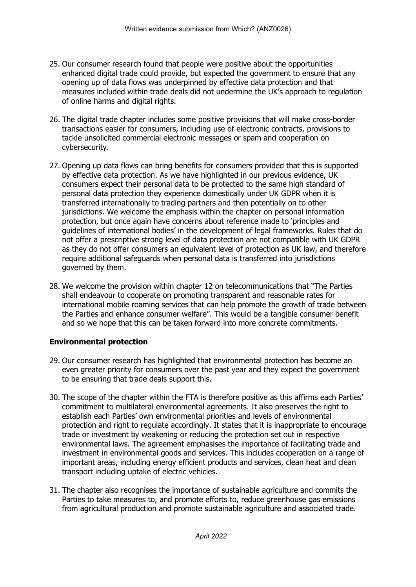- 25. Our consumer research found that people were positive about the opportunities enhanced digital trade could provide, but expected the government to ensure that any opening up of data flows was underpinned by effective data protection and that measures included within trade deals did not undermine the UK's approach to regulation of online harms and digital rights.
- 26. The digital trade chapter includes some positive provisions that will make cross-border transactions easier for consumers, including use of electronic contracts, provisions to tackle unsolicited commercial electronic messages or spam and cooperation on cybersecurity.
- 27. Opening up data flows can bring benefits for consumers provided that this is supported by effective data protection. As we have highlighted in our previous evidence, UK consumers expect their personal data to be protected to the same high standard of personal data protection they experience domestically under UK GDPR when it is transferred internationally to trading partners and then potentially on to other jurisdictions. We welcome the emphasis within the chapter on personal information protection, but once again have concerns about reference made to 'principles and guidelines of international bodies' in the development of legal frameworks. Rules that do not offer a prescriptive strong level of data protection are not compatible with UK GDPR as they do not offer consumers an equivalent level of protection as UK law, and therefore require additional safeguards when personal data is transferred into jurisdictions governed by them.
- 28. We welcome the provision within chapter 12 on telecommunications that "The Parties shall endeavour to cooperate on promoting transparent and reasonable rates for international mobile roaming services that can help promote the growth of trade between the Parties and enhance consumer welfare". This would be a tangible consumer benefit and so we hope that this can be taken forward into more concrete commitments.

## **Environmental protection**

- 29. Our consumer research has highlighted that environmental protection has become an even greater priority for consumers over the past year and they expect the government to be ensuring that trade deals support this.
- 30. The scope of the chapter within the FTA is therefore positive as this affirms each Parties' commitment to multilateral environmental agreements. It also preserves the right to establish each Parties' own environmental priorities and levels of environmental protection and right to regulate accordingly. It states that it is inappropriate to encourage trade or investment by weakening or reducing the protection set out in respective environmental laws. The agreement emphasises the importance of facilitating trade and investment in environmental goods and services. This includes cooperation on a range of important areas, including energy efficient products and services, clean heat and clean transport including uptake of electric vehicles.
- 31. The chapter also recognises the importance of sustainable agriculture and commits the Parties to take measures to, and promote efforts to, reduce greenhouse gas emissions from agricultural production and promote sustainable agriculture and associated trade.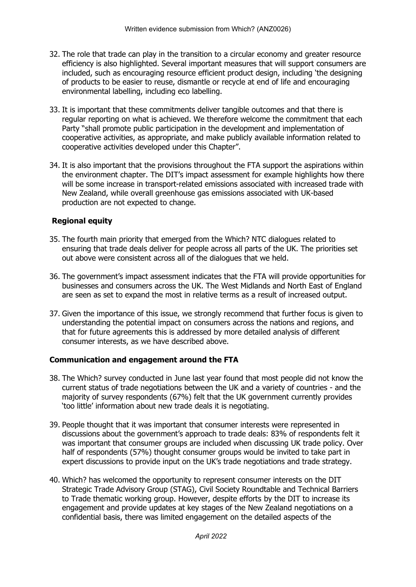- 32. The role that trade can play in the transition to a circular economy and greater resource efficiency is also highlighted. Several important measures that will support consumers are included, such as encouraging resource efficient product design, including 'the designing of products to be easier to reuse, dismantle or recycle at end of life and encouraging environmental labelling, including eco labelling.
- 33. It is important that these commitments deliver tangible outcomes and that there is regular reporting on what is achieved. We therefore welcome the commitment that each Party "shall promote public participation in the development and implementation of cooperative activities, as appropriate, and make publicly available information related to cooperative activities developed under this Chapter".
- 34. It is also important that the provisions throughout the FTA support the aspirations within the environment chapter. The DIT's impact assessment for example highlights how there will be some increase in transport-related emissions associated with increased trade with New Zealand, while overall greenhouse gas emissions associated with UK-based production are not expected to change.

## **Regional equity**

- 35. The fourth main priority that emerged from the Which? NTC dialogues related to ensuring that trade deals deliver for people across all parts of the UK. The priorities set out above were consistent across all of the dialogues that we held.
- 36. The government's impact assessment indicates that the FTA will provide opportunities for businesses and consumers across the UK. The West Midlands and North East of England are seen as set to expand the most in relative terms as a result of increased output.
- 37. Given the importance of this issue, we strongly recommend that further focus is given to understanding the potential impact on consumers across the nations and regions, and that for future agreements this is addressed by more detailed analysis of different consumer interests, as we have described above.

## **Communication and engagement around the FTA**

- 38. The Which? survey conducted in June last year found that most people did not know the current status of trade negotiations between the UK and a variety of countries - and the majority of survey respondents (67%) felt that the UK government currently provides 'too little' information about new trade deals it is negotiating.
- 39. People thought that it was important that consumer interests were represented in discussions about the government's approach to trade deals: 83% of respondents felt it was important that consumer groups are included when discussing UK trade policy. Over half of respondents (57%) thought consumer groups would be invited to take part in expert discussions to provide input on the UK's trade negotiations and trade strategy.
- 40. Which? has welcomed the opportunity to represent consumer interests on the DIT Strategic Trade Advisory Group (STAG), Civil Society Roundtable and Technical Barriers to Trade thematic working group. However, despite efforts by the DIT to increase its engagement and provide updates at key stages of the New Zealand negotiations on a confidential basis, there was limited engagement on the detailed aspects of the